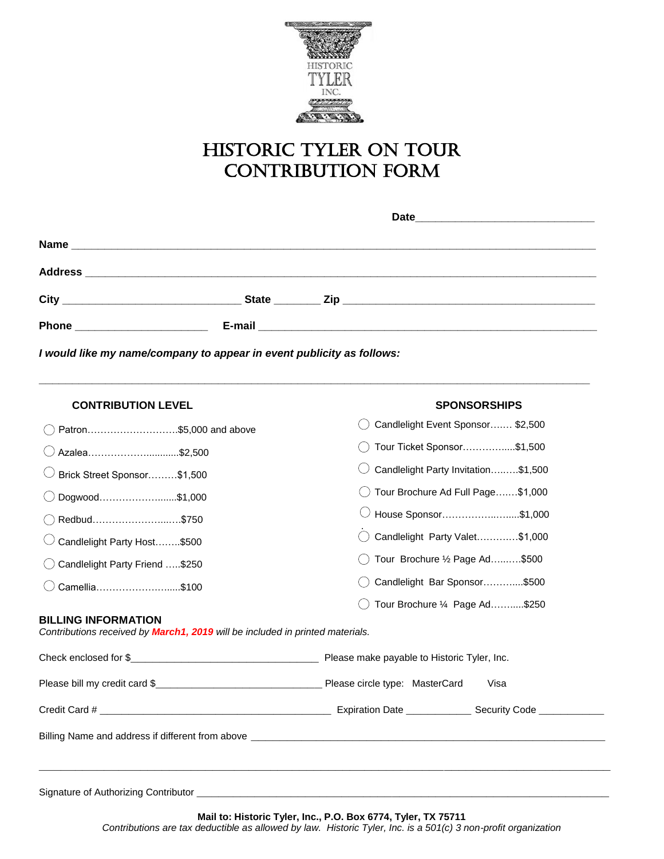

# Historic Tyler On tour CONTRIBUTION FORM

| <b>Phone Example 2019</b> |  |  |  |  |  |
|---------------------------|--|--|--|--|--|
|                           |  |  |  |  |  |

**\_\_\_\_\_\_\_\_\_\_\_\_\_\_\_\_\_\_\_\_\_\_\_\_\_\_\_\_\_\_\_\_\_\_\_\_\_\_\_\_\_\_\_\_\_\_\_\_\_\_\_\_\_\_\_\_\_\_\_\_\_\_\_\_\_\_\_\_\_\_\_\_\_\_\_\_\_\_\_\_\_\_\_**

*I would like my name/company to appear in event publicity as follows:*

| <b>CONTRIBUTION LEVEL</b>                                                                                          | <b>SPONSORSHIPS</b>                 |  |  |
|--------------------------------------------------------------------------------------------------------------------|-------------------------------------|--|--|
| Patron\$5,000 and above                                                                                            | Candlelight Event Sponsor \$2,500   |  |  |
| Azalea\$2,500                                                                                                      | Tour Ticket Sponsor\$1,500          |  |  |
| Brick Street Sponsor\$1,500                                                                                        | Candlelight Party Invitation\$1,500 |  |  |
| Dogwood\$1,000                                                                                                     | Tour Brochure Ad Full Page\$1,000   |  |  |
| Redbud\$750                                                                                                        | House Sponsor\$1,000                |  |  |
| Candlelight Party Host\$500                                                                                        | Candlelight Party Valet\$1,000      |  |  |
| Candlelight Party Friend \$250                                                                                     | Tour Brochure 1/2 Page Ad\$500      |  |  |
| Camellia\$100                                                                                                      | Candlelight Bar Sponsor\$500        |  |  |
|                                                                                                                    | Tour Brochure 1/4 Page Ad\$250      |  |  |
| <b>BILLING INFORMATION</b><br>Contributions received by <b>March1, 2019</b> will be included in printed materials. |                                     |  |  |
|                                                                                                                    |                                     |  |  |
|                                                                                                                    | Visa                                |  |  |
|                                                                                                                    |                                     |  |  |
|                                                                                                                    |                                     |  |  |
|                                                                                                                    |                                     |  |  |

*Contributions are tax deductible as allowed by law. Historic Tyler, Inc. is a 501(c) 3 non-profit organization*